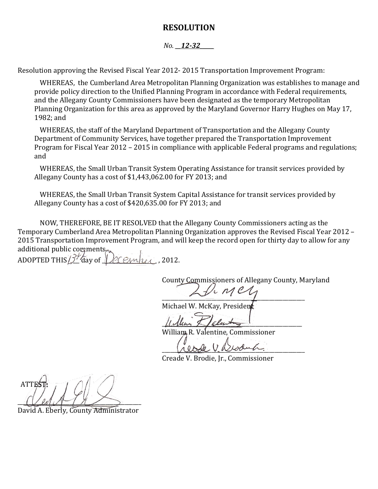## **RESOLUTION**

## *No. \_\_12-32\_\_\_\_\_*

Resolution approving the Revised Fiscal Year 2012- 2015 Transportation Improvement Program:

WHEREAS, the Cumberland Area Metropolitan Planning Organization was establishes to manage and provide policy direction to the Unified Planning Program in accordance with Federal requirements, and the Allegany County Commissioners have been designated as the temporary Metropolitan Planning Organization for this area as approved by the Maryland Governor Harry Hughes on May 17, 1982; and

WHEREAS, the staff of the Maryland Department of Transportation and the Allegany County Department of Community Services, have together prepared the Transportation Improvement Program for Fiscal Year 2012 – 2015 in compliance with applicable Federal programs and regulations; and

WHEREAS, the Small Urban Transit System Operating Assistance for transit services provided by Allegany County has a cost of \$1,443,062.00 for FY 2013; and

WHEREAS, the Small Urban Transit System Capital Assistance for transit services provided by Allegany County has a cost of \$420,635.00 for FY 2013; and

NOW, THEREFORE, BE IT RESOLVED that the Allegany County Commissioners acting as the Temporary Cumberland Area Metropolitan Planning Organization approves the Revised Fiscal Year 2012 – 2015 Transportation Improvement Program, and will keep the record open for thirty day to allow for any additional public comments. ADOPTED THIS  $\beta^{\#}$  day of  $\bigvee$  Cember , 2012.

County Commissioners of Allegany County, Maryland

 $\sim$ Michael W. McKay, President

 $\mu$ lem  $\neq$ 

William R. Valentine, Commissioner

eode V. Besauch.

Creade V. Brodie, Jr., Commissioner

ATTES  $\mathcal{O}(\mathcal{V}\mathcal{U})$ 

David A. Eberly, County Administrator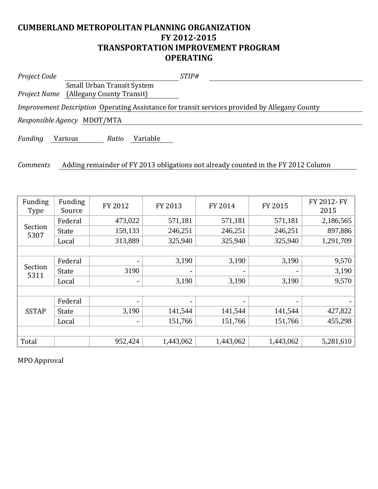## **CUMBERLAND METROPOLITAN PLANNING ORGANIZATION FY 2012-2015 TRANSPORTATION IMPROVEMENT PROGRAM OPERATING**

| Project Code    | <i>STIP#</i>                                                                                         |
|-----------------|------------------------------------------------------------------------------------------------------|
|                 | <b>Small Urban Transit System</b>                                                                    |
|                 | <b>Project Name</b> (Allegany County Transit)                                                        |
|                 | <i>Improvement Description</i> Operating Assistance for transit services provided by Allegany County |
|                 | Responsible Agency MDOT/MTA                                                                          |
| Funding         | Variable<br>Various<br>Ratio                                                                         |
| <b>Comments</b> | Adding remainder of FY 2013 obligations not already counted in the FY 2012 Column                    |

| Funding<br><b>Type</b> | Funding<br>Source | FY 2012                  | FY 2013   | FY 2014                  | FY 2015   | FY 2012- FY<br>2015 |  |  |  |
|------------------------|-------------------|--------------------------|-----------|--------------------------|-----------|---------------------|--|--|--|
| Section<br>5307        | Federal           | 473,022                  | 571,181   | 571,181                  | 571,181   | 2,186,565           |  |  |  |
|                        | <b>State</b>      | 159,133                  | 246,251   | 246,251                  | 246,251   | 897,886             |  |  |  |
|                        | Local             | 313,889                  | 325,940   | 325,940                  | 325,940   | 1,291,709           |  |  |  |
|                        |                   |                          |           |                          |           |                     |  |  |  |
| Section<br>5311        | Federal           | $\overline{\phantom{a}}$ | 3,190     | 3,190                    | 3,190     | 9,570               |  |  |  |
|                        | <b>State</b>      | 3190                     | -         | $\overline{\phantom{a}}$ |           | 3,190               |  |  |  |
|                        | Local             | $\overline{\phantom{a}}$ | 3,190     | 3,190                    | 3,190     | 9,570               |  |  |  |
|                        |                   |                          |           |                          |           |                     |  |  |  |
| <b>SSTAP</b>           | Federal           | -                        | -         | $\overline{\phantom{a}}$ |           |                     |  |  |  |
|                        | <b>State</b>      | 3,190                    | 141,544   | 141,544                  | 141,544   | 427,822             |  |  |  |
|                        | Local             | -                        | 151,766   | 151,766                  | 151,766   | 455,298             |  |  |  |
|                        |                   |                          |           |                          |           |                     |  |  |  |
| Total                  |                   | 952,424                  | 1,443,062 | 1,443,062                | 1,443,062 | 5,281,610           |  |  |  |

MPO Approval